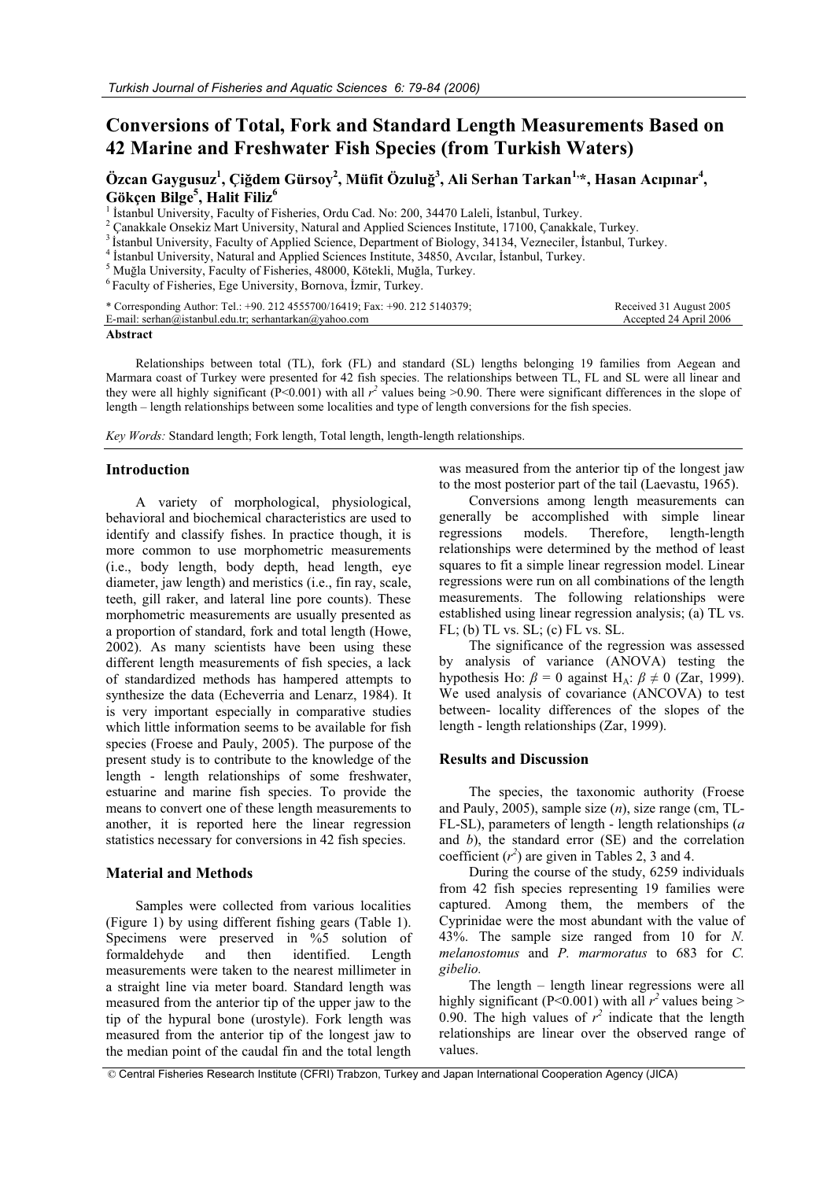# **Conversions of Total, Fork and Standard Length Measurements Based on 42 Marine and Freshwater Fish Species (from Turkish Waters)**

 $\ddot{\textbf{O}}$ zcan Gaygusuz<sup>1</sup>, Çiğdem Gürsoy<sup>2</sup>, Müfit Özuluğ<sup>3</sup>, Ali Serhan Tarkan<sup>1,</sup>\*, Hasan Acıpınar<sup>4</sup>, **Gökçen Bilge5 , Halit Filiz6**

<sup>1</sup> İstanbul University, Faculty of Fisheries, Ordu Cad. No: 200, 34470 Laleli, İstanbul, Turkey.<br><sup>2</sup> Canakkale Onsekiz Mart University, Natural and Applied Sciences Institute, 17100, Çanakkale, Turkey.

<sup>3</sup> Islanbul University, Faculty of Applied Science, Department of Biology, 34134, Vezneciler, Islanbul, Turkey.<br><sup>4</sup> Islanbul University, Natural and Applied Sciences Institute, 34850, Avcılar, Islanbul, Turkey.

 $^5$ Muğla University, Faculty of Fisheries, 48000, Kötekli, Muğla, Turkey.  $^6$  Faculty of Fisheries, Ege University, Bornova, İzmir, Turkey.

| * Corresponding Author: Tel.: +90. 212 4555700/16419; Fax: +90. 212 5140379; | Received 31 August 2005 |
|------------------------------------------------------------------------------|-------------------------|
| E-mail: serhan@istanbul.edu.tr; serhantarkan@yahoo.com                       | Accepted 24 April 2006  |
|                                                                              |                         |

**Abstract** 

Relationships between total (TL), fork (FL) and standard (SL) lengths belonging 19 families from Aegean and Marmara coast of Turkey were presented for 42 fish species. The relationships between TL, FL and SL were all linear and they were all highly significant (P<0.001) with all  $r^2$  values being >0.90. There were significant differences in the slope of length – length relationships between some localities and type of length conversions for the fish species.

*Key Words:* Standard length; Fork length, Total length, length-length relationships.

#### **Introduction**

A variety of morphological, physiological, behavioral and biochemical characteristics are used to identify and classify fishes. In practice though, it is more common to use morphometric measurements (i.e., body length, body depth, head length, eye diameter, jaw length) and meristics (i.e., fin ray, scale, teeth, gill raker, and lateral line pore counts). These morphometric measurements are usually presented as a proportion of standard, fork and total length (Howe, 2002). As many scientists have been using these different length measurements of fish species, a lack of standardized methods has hampered attempts to synthesize the data (Echeverria and Lenarz, 1984). It is very important especially in comparative studies which little information seems to be available for fish species (Froese and Pauly, 2005). The purpose of the present study is to contribute to the knowledge of the length - length relationships of some freshwater, estuarine and marine fish species. To provide the means to convert one of these length measurements to another, it is reported here the linear regression statistics necessary for conversions in 42 fish species.

#### **Material and Methods**

Samples were collected from various localities (Figure 1) by using different fishing gears (Table 1). Specimens were preserved in %5 solution of formaldehyde and then identified. Length measurements were taken to the nearest millimeter in a straight line via meter board. Standard length was measured from the anterior tip of the upper jaw to the tip of the hypural bone (urostyle). Fork length was measured from the anterior tip of the longest jaw to the median point of the caudal fin and the total length

was measured from the anterior tip of the longest jaw to the most posterior part of the tail (Laevastu, 1965).

Conversions among length measurements can generally be accomplished with simple linear regressions models. Therefore, length-length relationships were determined by the method of least squares to fit a simple linear regression model. Linear regressions were run on all combinations of the length measurements. The following relationships were established using linear regression analysis; (a) TL vs. FL; (b) TL vs. SL; (c) FL vs. SL.

The significance of the regression was assessed by analysis of variance (ANOVA) testing the hypothesis Ho:  $\beta = 0$  against H<sub>A</sub>:  $\beta \neq 0$  (Zar, 1999). We used analysis of covariance (ANCOVA) to test between- locality differences of the slopes of the length - length relationships (Zar, 1999).

#### **Results and Discussion**

The species, the taxonomic authority (Froese and Pauly, 2005), sample size (*n*), size range (cm, TL-FL-SL), parameters of length - length relationships (*a* and *b*), the standard error (SE) and the correlation coefficient  $(r^2)$  are given in Tables 2, 3 and 4.

During the course of the study, 6259 individuals from 42 fish species representing 19 families were captured. Among them, the members of the Cyprinidae were the most abundant with the value of 43%. The sample size ranged from 10 for *N. melanostomus* and *P. marmoratus* to 683 for *C. gibelio.*

The length – length linear regressions were all highly significant (P<0.001) with all  $r^2$  values being > 0.90. The high values of  $r^2$  indicate that the length relationships are linear over the observed range of values.

© Central Fisheries Research Institute (CFRI) Trabzon, Turkey and Japan International Cooperation Agency (JICA)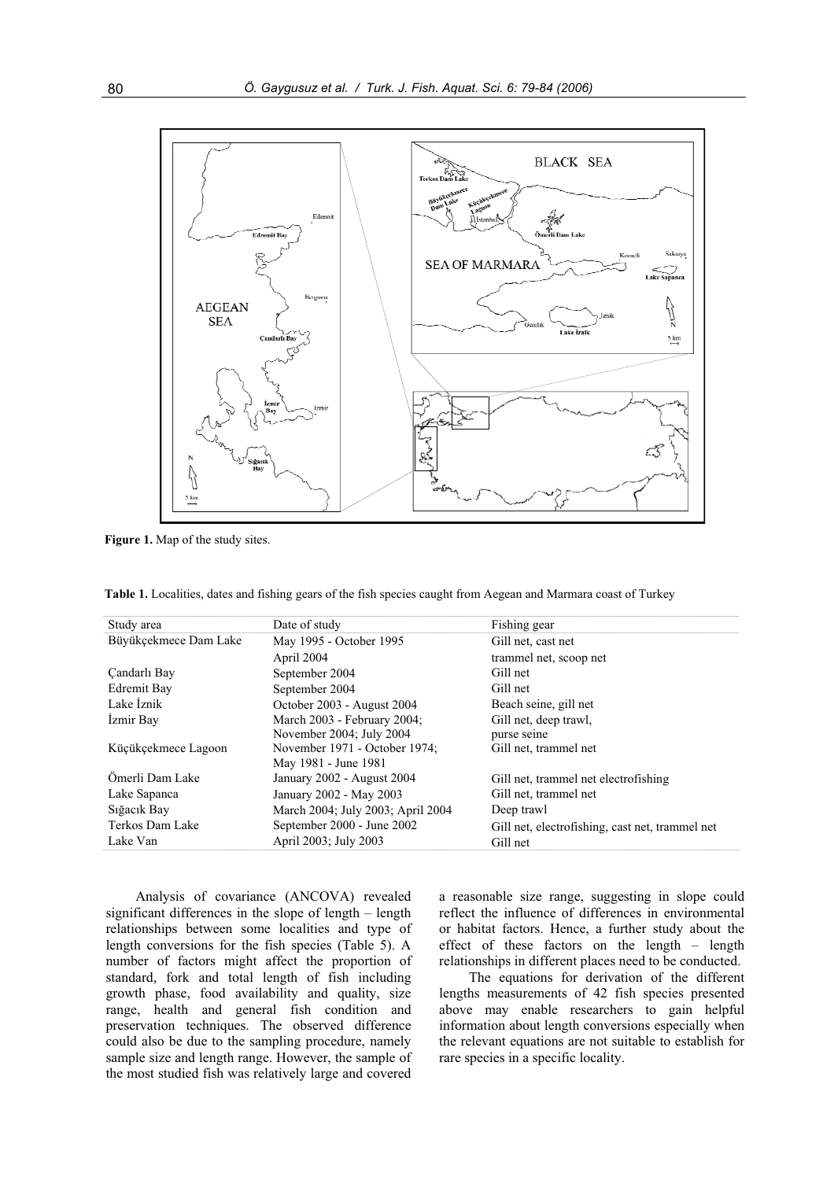

**Figure 1.** Map of the study sites.

|  |  | Table 1. Localities, dates and fishing gears of the fish species caught from Aegean and Marmara coast of Turkey |  |
|--|--|-----------------------------------------------------------------------------------------------------------------|--|
|  |  |                                                                                                                 |  |

| Study area            | Date of study                     | Fishing gear                                    |
|-----------------------|-----------------------------------|-------------------------------------------------|
| Büyükçekmece Dam Lake | May 1995 - October 1995           | Gill net, cast net                              |
|                       | April 2004                        | trammel net, scoop net                          |
| Candarlı Bay          | September 2004                    | Gill net                                        |
| Edremit Bay           | September 2004                    | Gill net                                        |
| Lake Iznik            | October 2003 - August 2004        | Beach seine, gill net                           |
| Izmir Bay             | March 2003 - February 2004;       | Gill net, deep trawl,                           |
|                       | November 2004; July 2004          | purse seine                                     |
| Kücükçekmece Lagoon   | November 1971 - October 1974;     | Gill net, trammel net                           |
|                       | May 1981 - June 1981              |                                                 |
| Ömerli Dam Lake       | January 2002 - August 2004        | Gill net, trammel net electrofishing            |
| Lake Sapanca          | January 2002 - May 2003           | Gill net, trammel net                           |
| Siğacik Bay           | March 2004; July 2003; April 2004 | Deep trawl                                      |
| Terkos Dam Lake       | September 2000 - June 2002        | Gill net, electrofishing, cast net, trammel net |
| Lake Van              | April 2003; July 2003             | Gill net                                        |

Analysis of covariance (ANCOVA) revealed significant differences in the slope of length – length relationships between some localities and type of length conversions for the fish species (Table 5). A number of factors might affect the proportion of standard, fork and total length of fish including growth phase, food availability and quality, size range, health and general fish condition and preservation techniques. The observed difference could also be due to the sampling procedure, namely sample size and length range. However, the sample of the most studied fish was relatively large and covered

a reasonable size range, suggesting in slope could reflect the influence of differences in environmental or habitat factors. Hence, a further study about the effect of these factors on the length – length relationships in different places need to be conducted.

The equations for derivation of the different lengths measurements of 42 fish species presented above may enable researchers to gain helpful information about length conversions especially when the relevant equations are not suitable to establish for rare species in a specific locality.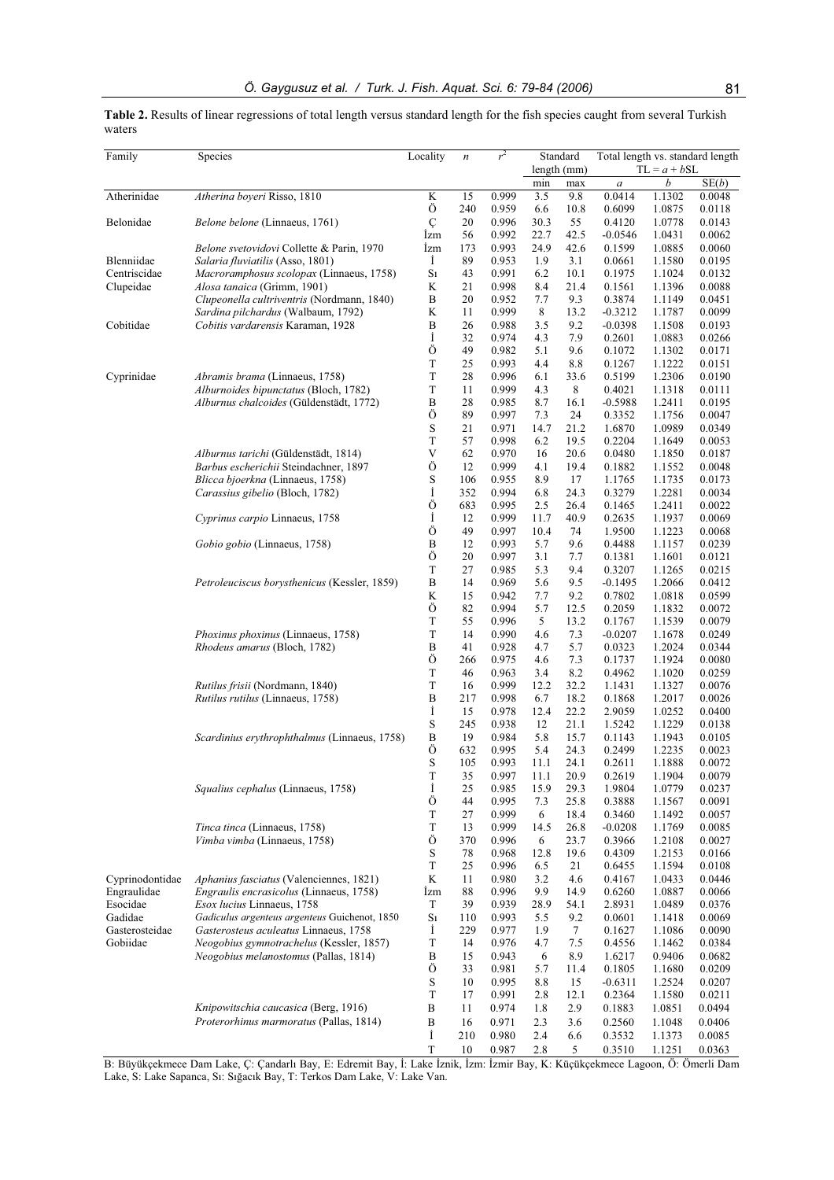**Table 2.** Results of linear regressions of total length versus standard length for the fish species caught from several Turkish waters

| Family          | Species                                             | Locality              | $\boldsymbol{n}$ | r <sup>2</sup> | Standard    |              | Total length vs. standard length |                  |                  |  |
|-----------------|-----------------------------------------------------|-----------------------|------------------|----------------|-------------|--------------|----------------------------------|------------------|------------------|--|
|                 |                                                     |                       |                  |                |             | length (mm)  |                                  | $TL = a + bSL$   | SE(b)            |  |
| Atherinidae     | Atherina boyeri Risso, 1810                         | K                     | 15               | 0.999          | min<br>3.5  | max<br>9.8   | $\boldsymbol{a}$<br>0.0414       | b<br>1.1302      | 0.0048           |  |
|                 |                                                     | Ö                     | 240              | 0.959          | 6.6         | 10.8         | 0.6099                           | 1.0875           | 0.0118           |  |
| Belonidae       | Belone belone (Linnaeus, 1761)                      | Ç                     | 20               | 0.996          | 30.3        | 55           | 0.4120                           | 1.0778           | 0.0143           |  |
|                 |                                                     | Izm                   | 56               | 0.992          | 22.7        | 42.5         | $-0.0546$                        | 1.0431           | 0.0062           |  |
|                 | Belone svetovidovi Collette & Parin, 1970           | Izm                   | 173              | 0.993          | 24.9        | 42.6         | 0.1599                           | 1.0885           | 0.0060           |  |
| Blenniidae      | Salaria fluviatilis (Asso, 1801)                    | İ                     | 89               | 0.953          | 1.9         | 3.1          | 0.0661                           | 1.1580           | 0.0195           |  |
| Centriscidae    | Macroramphosus scolopax (Linnaeus, 1758)            | S <sub>1</sub>        | 43               | 0.991          | 6.2         | 10.1         | 0.1975                           | 1.1024           | 0.0132           |  |
| Clupeidae       | Alosa tanaica (Grimm, 1901)                         | K                     | 21               | 0.998          | 8.4         | 21.4         | 0.1561                           | 1.1396           | 0.0088           |  |
|                 | Clupeonella cultriventris (Nordmann, 1840)          | B                     | 20               | 0.952          | 7.7         | 9.3          | 0.3874                           | 1.1149           | 0.0451           |  |
|                 | Sardina pilchardus (Walbaum, 1792)                  | K                     | 11               | 0.999          | 8           | 13.2         | $-0.3212$                        | 1.1787           | 0.0099           |  |
| Cobitidae       | Cobitis vardarensis Karaman, 1928                   | $\boldsymbol{B}$      | 26               | 0.988          | 3.5         | 9.2          | $-0.0398$                        | 1.1508           | 0.0193           |  |
|                 |                                                     | İ                     | 32               | 0.974          | 4.3         | 7.9          | 0.2601                           | 1.0883           | 0.0266           |  |
|                 |                                                     | Ö                     | 49               | 0.982          | 5.1         | 9.6          | 0.1072                           | 1.1302           | 0.0171           |  |
|                 |                                                     | T                     | 25               | 0.993          | 4.4         | 8.8          | 0.1267                           | 1.1222           | 0.0151           |  |
| Cyprinidae      | Abramis brama (Linnaeus, 1758)                      | T                     | 28               | 0.996          | 6.1         | 33.6         | 0.5199                           | 1.2306           | 0.0190           |  |
|                 | Alburnoides bipunctatus (Bloch, 1782)               | T<br>$\boldsymbol{B}$ | 11<br>28         | 0.999          | 4.3<br>8.7  | 8            | 0.4021                           | 1.1318           | 0.0111           |  |
|                 | Alburnus chalcoides (Güldenstädt, 1772)             | Ö                     | 89               | 0.985<br>0.997 | 7.3         | 16.1<br>24   | $-0.5988$<br>0.3352              | 1.2411<br>1.1756 | 0.0195<br>0.0047 |  |
|                 |                                                     | S                     | 21               | 0.971          | 14.7        | 21.2         | 1.6870                           | 1.0989           | 0.0349           |  |
|                 |                                                     | T                     | 57               | 0.998          | 6.2         | 19.5         | 0.2204                           | 1.1649           | 0.0053           |  |
|                 | Alburnus tarichi (Güldenstädt, 1814)                | V                     | 62               | 0.970          | 16          | 20.6         | 0.0480                           | 1.1850           | 0.0187           |  |
|                 | Barbus escherichii Steindachner, 1897               | Ö                     | 12               | 0.999          | 4.1         | 19.4         | 0.1882                           | 1.1552           | 0.0048           |  |
|                 | Blicca bjoerkna (Linnaeus, 1758)                    | S                     | 106              | 0.955          | 8.9         | 17           | 1.1765                           | 1.1735           | 0.0173           |  |
|                 | Carassius gibelio (Bloch, 1782)                     | İ                     | 352              | 0.994          | 6.8         | 24.3         | 0.3279                           | 1.2281           | 0.0034           |  |
|                 |                                                     | Ö                     | 683              | 0.995          | 2.5         | 26.4         | 0.1465                           | 1.2411           | 0.0022           |  |
|                 | Cyprinus carpio Linnaeus, 1758                      | İ                     | 12               | 0.999          | 11.7        | 40.9         | 0.2635                           | 1.1937           | 0.0069           |  |
|                 |                                                     | Ö                     | 49               | 0.997          | 10.4        | 74           | 1.9500                           | 1.1223           | 0.0068           |  |
|                 | Gobio gobio (Linnaeus, 1758)                        | $\boldsymbol{B}$      | 12               | 0.993          | 5.7         | 9.6          | 0.4488                           | 1.1157           | 0.0239           |  |
|                 |                                                     | Ö                     | 20               | 0.997          | 3.1         | 7.7          | 0.1381                           | 1.1601           | 0.0121           |  |
|                 |                                                     | T                     | 27               | 0.985          | 5.3         | 9.4          | 0.3207                           | 1.1265           | 0.0215           |  |
|                 | Petroleuciscus borysthenicus (Kessler, 1859)        | $\boldsymbol{B}$      | 14               | 0.969          | 5.6         | 9.5          | $-0.1495$                        | 1.2066           | 0.0412           |  |
|                 |                                                     | K<br>Ö                | 15               | 0.942          | 7.7<br>5.7  | 9.2          | 0.7802                           | 1.0818           | 0.0599           |  |
|                 |                                                     | T                     | 82<br>55         | 0.994<br>0.996 | 5           | 12.5<br>13.2 | 0.2059<br>0.1767                 | 1.1832<br>1.1539 | 0.0072<br>0.0079 |  |
|                 | Phoxinus phoxinus (Linnaeus, 1758)                  | T                     | 14               | 0.990          | 4.6         | 7.3          | $-0.0207$                        | 1.1678           | 0.0249           |  |
|                 | Rhodeus amarus (Bloch, 1782)                        | B                     | 41               | 0.928          | 4.7         | 5.7          | 0.0323                           | 1.2024           | 0.0344           |  |
|                 |                                                     | Ö                     | 266              | 0.975          | 4.6         | 7.3          | 0.1737                           | 1.1924           | 0.0080           |  |
|                 |                                                     | T                     | 46               | 0.963          | 3.4         | 8.2          | 0.4962                           | 1.1020           | 0.0259           |  |
|                 | Rutilus frisii (Nordmann, 1840)                     | T                     | 16               | 0.999          | 12.2        | 32.2         | 1.1431                           | 1.1327           | 0.0076           |  |
|                 | Rutilus rutilus (Linnaeus, 1758)                    | $\boldsymbol{B}$      | 217              | 0.998          | 6.7         | 18.2         | 0.1868                           | 1.2017           | 0.0026           |  |
|                 |                                                     | İ                     | 15               | 0.978          | 12.4        | 22.2         | 2.9059                           | 1.0252           | 0.0400           |  |
|                 |                                                     | $\mathbf S$           | 245              | 0.938          | 12          | 21.1         | 1.5242                           | 1.1229           | 0.0138           |  |
|                 | <i>Scardinius erythrophthalmus</i> (Linnaeus, 1758) | $\, {\bf B}$          | 19               | 0.984          | 5.8         | 15.7         | 0.1143                           | 1.1943           | 0.0105           |  |
|                 |                                                     | Ö                     | 632              | 0.995          | 5.4         | 24.3         | 0.2499                           | 1.2235           | 0.0023           |  |
|                 |                                                     | S                     | 105              | 0.993          | 11.1        | 24.1         | 0.2611                           | 1.1888           | 0.0072           |  |
|                 |                                                     | T                     | 35               | 0.997          | 11.1        | 20.9         | 0.2619                           | 1.1904           | 0.0079           |  |
|                 | Squalius cephalus (Linnaeus, 1758)                  | İ<br>Ö                | 25<br>44         | 0.985<br>0.995 | 15.9<br>7.3 | 29.3<br>25.8 | 1.9804<br>0.3888                 | 1.0779<br>1.1567 | 0.0237<br>0.0091 |  |
|                 |                                                     | T                     | 27               | 0.999          | 6           | 18.4         | 0.3460                           | 1.1492           | 0.0057           |  |
|                 | Tinca tinca (Linnaeus, 1758)                        | $\mathbf T$           | 13               | 0.999          | 14.5        | 26.8         | $-0.0208$                        | 1.1769           | 0.0085           |  |
|                 | Vimba vimba (Linnaeus, 1758)                        | Ö                     | 370              | 0.996          | 6           | 23.7         | 0.3966                           | 1.2108           | 0.0027           |  |
|                 |                                                     | S                     | 78               | 0.968          | 12.8        | 19.6         | 0.4309                           | 1.2153           | 0.0166           |  |
|                 |                                                     | T                     | 25               | 0.996          | 6.5         | 21           | 0.6455                           | 1.1594           | 0.0108           |  |
| Cyprinodontidae | Aphanius fasciatus (Valenciennes, 1821)             | K                     | 11               | 0.980          | 3.2         | 4.6          | 0.4167                           | 1.0433           | 0.0446           |  |
| Engraulidae     | <i>Engraulis encrasicolus</i> (Linnaeus, 1758)      | Izm                   | 88               | 0.996          | 9.9         | 14.9         | 0.6260                           | 1.0887           | 0.0066           |  |
| Esocidae        | Esox lucius Linnaeus, 1758                          | $\mathbf T$           | 39               | 0.939          | 28.9        | 54.1         | 2.8931                           | 1.0489           | 0.0376           |  |
| Gadidae         | Gadiculus argenteus argenteus Guichenot, 1850       | S <sub>1</sub>        | 110              | 0.993          | 5.5         | 9.2          | 0.0601                           | 1.1418           | 0.0069           |  |
| Gasterosteidae  | Gasterosteus aculeatus Linnaeus, 1758               | İ                     | 229              | 0.977          | 1.9         | 7            | 0.1627                           | 1.1086           | 0.0090           |  |
| Gobiidae        | Neogobius gymnotrachelus (Kessler, 1857)            | $\mathbf T$           | 14               | 0.976          | 4.7         | 7.5          | 0.4556                           | 1.1462           | 0.0384           |  |
|                 | Neogobius melanostomus (Pallas, 1814)               | $\boldsymbol{B}$      | 15               | 0.943          | 6           | 8.9          | 1.6217                           | 0.9406           | 0.0682           |  |
|                 |                                                     | Ö                     | 33               | 0.981          | 5.7         | 11.4         | 0.1805                           | 1.1680           | 0.0209           |  |
|                 |                                                     | S                     | 10               | 0.995          | 8.8         | 15           | $-0.6311$                        | 1.2524           | 0.0207           |  |
|                 | Knipowitschia caucasica (Berg, 1916)                | T<br>$\, {\bf B}$     | 17               | 0.991          | 2.8         | 12.1         | 0.2364                           | 1.1580           | 0.0211           |  |
|                 | Proterorhinus marmoratus (Pallas, 1814)             | $\, {\bf B}$          | 11               | 0.974<br>0.971 | 1.8<br>2.3  | 2.9          | 0.1883                           | 1.0851           | 0.0494<br>0.0406 |  |
|                 |                                                     |                       | 16               |                |             | 3.6          | 0.2560                           | 1.1048           |                  |  |
|                 |                                                     | İ<br>$\mathbf T$      | 210<br>10        | 0.980<br>0.987 | 2.4<br>2.8  | 6.6<br>5     | 0.3532<br>0.3510                 | 1.1373<br>1.1251 | 0.0085<br>0.0363 |  |
|                 |                                                     |                       |                  |                |             |              |                                  |                  |                  |  |

B: Büyükçekmece Dam Lake, Ç: Çandarlı Bay, E: Edremit Bay, İ: Lake İznik, İzm: İzmir Bay, K: Küçükçekmece Lagoon, Ö: Ömerli Dam Lake, S: Lake Sapanca, Sı: Sığacık Bay, T: Terkos Dam Lake, V: Lake Van.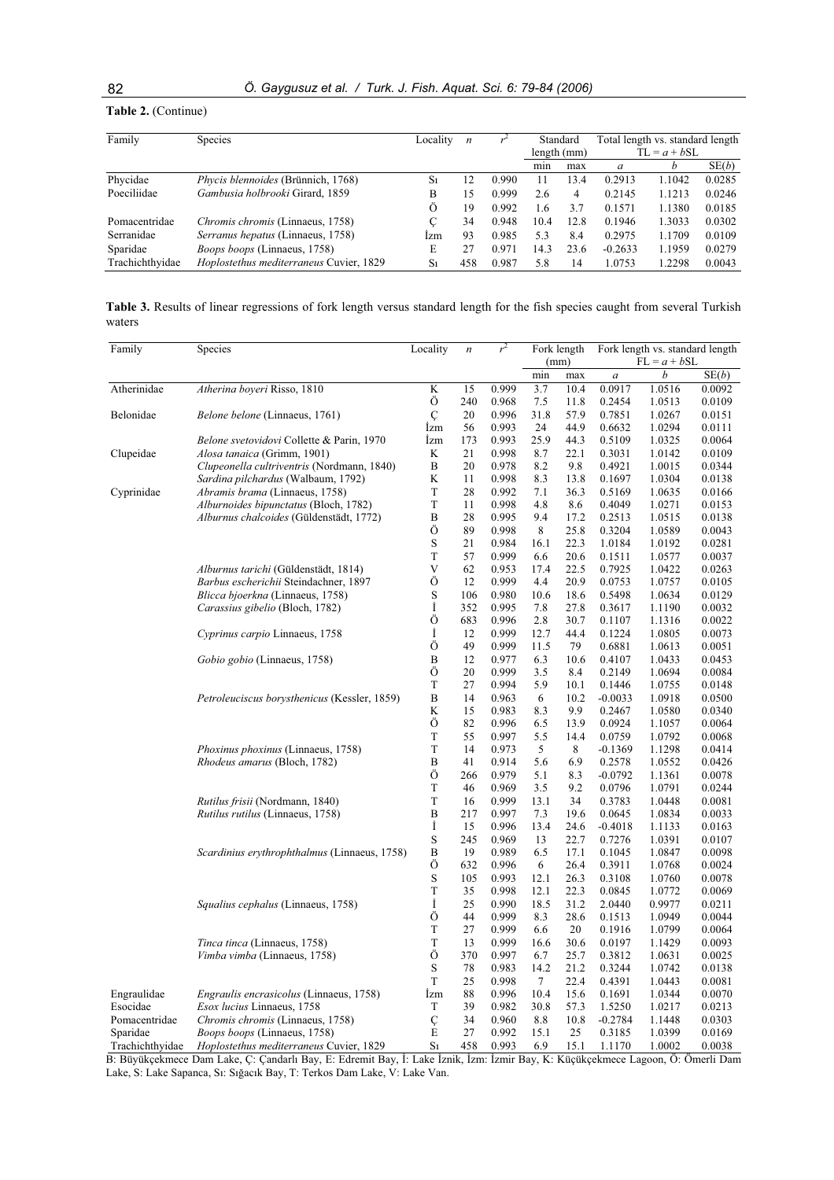### **Table 2.** (Continue)

| Family          | Species                                   | Locality       | n   |       | Standard    |      | Total length vs. standard length |        |        |  |
|-----------------|-------------------------------------------|----------------|-----|-------|-------------|------|----------------------------------|--------|--------|--|
|                 |                                           |                |     |       | length (mm) |      | $TL = a + bSL$                   |        |        |  |
|                 |                                           |                |     |       | min         | max  | a                                |        | SE(b)  |  |
| Phycidae        | <i>Phycis blennoides</i> (Brünnich, 1768) | S <sub>1</sub> | 12  | 0.990 | 11          | 3.4  | 0.2913                           | 1.1042 | 0.0285 |  |
| Poeciliidae     | Gambusia holbrooki Girard, 1859           | B              | 15  | 0.999 | 2.6         | 4    | 0.2145                           | 1.1213 | 0.0246 |  |
|                 |                                           | Ö              | 19  | 0.992 | 1.6         | 3.7  | 0.1571                           | 1.1380 | 0.0185 |  |
| Pomacentridae   | Chromis chromis (Linnaeus, 1758)          | C              | 34  | 0.948 | 10.4        | 12.8 | 0.1946                           | 1.3033 | 0.0302 |  |
| Serranidae      | Serranus hepatus (Linnaeus, 1758)         | Izm            | 93  | 0.985 | 5.3         | 8.4  | 0.2975                           | 1.1709 | 0.0109 |  |
| Sparidae        | Boops boops (Linnaeus, 1758)              | E              | 27  | 0.971 | 14.3        | 23.6 | $-0.2633$                        | 1.1959 | 0.0279 |  |
| Trachichthyidae | Hoplostethus mediterraneus Cuvier, 1829   | S <sub>1</sub> | 458 | 0.987 | 5.8         | 14   | 1.0753                           | 1.2298 | 0.0043 |  |

**Table 3.** Results of linear regressions of fork length versus standard length for the fish species caught from several Turkish waters

| Family          | Species                                        | Locality         | $\boldsymbol{n}$ | $r^2$ | Fork length |      | Fork length vs. standard length |                |        |  |
|-----------------|------------------------------------------------|------------------|------------------|-------|-------------|------|---------------------------------|----------------|--------|--|
|                 |                                                |                  |                  |       |             | (mm) |                                 | $FL = a + bSL$ |        |  |
|                 |                                                |                  |                  |       | min         | max  | $\boldsymbol{a}$                | b              | SE(b)  |  |
| Atherinidae     | Atherina boyeri Risso, 1810                    | K                | 15               | 0.999 | 3.7         | 10.4 | 0.0917                          | 1.0516         | 0.0092 |  |
|                 |                                                | Ö                | 240              | 0.968 | 7.5         | 11.8 | 0.2454                          | 1.0513         | 0.0109 |  |
| Belonidae       | Belone belone (Linnaeus, 1761)                 | Ç                | 20               | 0.996 | 31.8        | 57.9 | 0.7851                          | 1.0267         | 0.0151 |  |
|                 |                                                | İzm              | 56               | 0.993 | 24          | 44.9 | 0.6632                          | 1.0294         | 0.0111 |  |
|                 | Belone svetovidovi Collette & Parin, 1970      | İzm              | 173              | 0.993 | 25.9        | 44.3 | 0.5109                          | 1.0325         | 0.0064 |  |
| Clupeidae       | <i>Alosa tanaica</i> (Grimm, 1901)             | K                | 21               | 0.998 | 8.7         | 22.1 | 0.3031                          | 1.0142         | 0.0109 |  |
|                 | Clupeonella cultriventris (Nordmann, 1840)     | B                | 20               | 0.978 | 8.2         | 9.8  | 0.4921                          | 1.0015         | 0.0344 |  |
|                 | Sardina pilchardus (Walbaum, 1792)             | K                | 11               | 0.998 | 8.3         | 13.8 | 0.1697                          | 1.0304         | 0.0138 |  |
| Cyprinidae      | Abramis brama (Linnaeus, 1758)                 | T                | 28               | 0.992 | 7.1         | 36.3 | 0.5169                          | 1.0635         | 0.0166 |  |
|                 | <i>Alburnoides bipunctatus</i> (Bloch, 1782)   | T                | 11               | 0.998 | 4.8         | 8.6  | 0.4049                          | 1.0271         | 0.0153 |  |
|                 | Alburnus chalcoides (Güldenstädt, 1772)        | B                | 28               | 0.995 | 9.4         | 17.2 | 0.2513                          | 1.0515         | 0.0138 |  |
|                 |                                                | Ö                | 89               | 0.998 | 8           | 25.8 | 0.3204                          | 1.0589         | 0.0043 |  |
|                 |                                                | S                | 21               | 0.984 | 16.1        | 22.3 | 1.0184                          | 1.0192         | 0.0281 |  |
|                 |                                                | T                | 57               | 0.999 | 6.6         | 20.6 | 0.1511                          | 1.0577         | 0.0037 |  |
|                 | Alburnus tarichi (Güldenstädt, 1814)           | V                | 62               | 0.953 | 17.4        | 22.5 | 0.7925                          | 1.0422         | 0.0263 |  |
|                 | Barbus escherichii Steindachner, 1897          | Ö                | 12               | 0.999 | 4.4         | 20.9 | 0.0753                          | 1.0757         | 0.0105 |  |
|                 | Blicca bjoerkna (Linnaeus, 1758)               | S                | 106              | 0.980 | 10.6        | 18.6 | 0.5498                          | 1.0634         | 0.0129 |  |
|                 | Carassius gibelio (Bloch, 1782)                | İ                | 352              | 0.995 | 7.8         | 27.8 | 0.3617                          | 1.1190         | 0.0032 |  |
|                 |                                                | Ö                | 683              | 0.996 | 2.8         | 30.7 | 0.1107                          | 1.1316         | 0.0022 |  |
|                 | Cyprinus carpio Linnaeus, 1758                 | İ                | 12               | 0.999 | 12.7        | 44.4 | 0.1224                          | 1.0805         | 0.0073 |  |
|                 |                                                | Ö                | 49               | 0.999 | 11.5        | 79   | 0.6881                          | 1.0613         | 0.0051 |  |
|                 | Gobio gobio (Linnaeus, 1758)                   | B                | 12               | 0.977 | 6.3         | 10.6 | 0.4107                          | 1.0433         | 0.0453 |  |
|                 |                                                | Ö                | 20               | 0.999 | 3.5         | 8.4  | 0.2149                          | 1.0694         | 0.0084 |  |
|                 |                                                | T                | 27               | 0.994 | 5.9         | 10.1 | 0.1446                          | 1.0755         | 0.0148 |  |
|                 | Petroleuciscus borysthenicus (Kessler, 1859)   | $\boldsymbol{B}$ | 14               | 0.963 | 6           | 10.2 | $-0.0033$                       | 1.0918         | 0.0500 |  |
|                 |                                                | K                | 15               | 0.983 | 8.3         | 9.9  | 0.2467                          | 1.0580         | 0.0340 |  |
|                 |                                                | Ö                | 82               | 0.996 | 6.5         | 13.9 | 0.0924                          | 1.1057         | 0.0064 |  |
|                 |                                                | T                | 55               | 0.997 | 5.5         | 14.4 | 0.0759                          | 1.0792         | 0.0068 |  |
|                 | Phoxinus phoxinus (Linnaeus, 1758)             | T                | 14               | 0.973 | 5           | 8    | $-0.1369$                       | 1.1298         | 0.0414 |  |
|                 | Rhodeus amarus (Bloch, 1782)                   | B                | 41               | 0.914 | 5.6         | 6.9  | 0.2578                          | 1.0552         | 0.0426 |  |
|                 |                                                | Ö                | 266              | 0.979 | 5.1         | 8.3  | $-0.0792$                       | 1.1361         | 0.0078 |  |
|                 |                                                | T                | 46               | 0.969 | 3.5         | 9.2  | 0.0796                          | 1.0791         | 0.0244 |  |
|                 | Rutilus frisii (Nordmann, 1840)                | T                | 16               | 0.999 | 13.1        | 34   | 0.3783                          | 1.0448         | 0.0081 |  |
|                 | Rutilus rutilus (Linnaeus, 1758)               | B                | 217              | 0.997 | 7.3         | 19.6 | 0.0645                          | 1.0834         | 0.0033 |  |
|                 |                                                | İ                | 15               | 0.996 | 13.4        | 24.6 | $-0.4018$                       | 1.1133         | 0.0163 |  |
|                 |                                                | $\mathbf S$      | 245              | 0.969 | 13          | 22.7 | 0.7276                          | 1.0391         | 0.0107 |  |
|                 | Scardinius erythrophthalmus (Linnaeus, 1758)   | B                | 19               | 0.989 | 6.5         | 17.1 | 0.1045                          | 1.0847         | 0.0098 |  |
|                 |                                                | Ö                | 632              | 0.996 | 6           | 26.4 | 0.3911                          | 1.0768         | 0.0024 |  |
|                 |                                                | $\rm S$          | 105              | 0.993 | 12.1        | 26.3 | 0.3108                          | 1.0760         | 0.0078 |  |
|                 |                                                | T                | 35               | 0.998 | 12.1        | 22.3 | 0.0845                          | 1.0772         | 0.0069 |  |
|                 | Squalius cephalus (Linnaeus, 1758)             | İ                | 25               | 0.990 | 18.5        | 31.2 | 2.0440                          | 0.9977         | 0.0211 |  |
|                 |                                                | Ö                | 44               | 0.999 | 8.3         | 28.6 | 0.1513                          | 1.0949         | 0.0044 |  |
|                 |                                                | T                | 27               | 0.999 | 6.6         | 20   | 0.1916                          | 1.0799         | 0.0064 |  |
|                 | Tinca tinca (Linnaeus, 1758)                   | T                | 13               | 0.999 | 16.6        | 30.6 | 0.0197                          | 1.1429         | 0.0093 |  |
|                 | Vimba vimba (Linnaeus, 1758)                   | Ö                | 370              | 0.997 | 6.7         | 25.7 | 0.3812                          | 1.0631         | 0.0025 |  |
|                 |                                                | S                | 78               | 0.983 | 14.2        | 21.2 | 0.3244                          | 1.0742         | 0.0138 |  |
|                 |                                                | T                | 25               | 0.998 | $\tau$      | 22.4 | 0.4391                          | 1.0443         | 0.0081 |  |
| Engraulidae     | <i>Engraulis encrasicolus</i> (Linnaeus, 1758) | İzm              | 88               | 0.996 | 10.4        | 15.6 | 0.1691                          | 1.0344         | 0.0070 |  |
| Esocidae        | Esox lucius Linnaeus, 1758                     | T                | 39               | 0.982 | 30.8        | 57.3 | 1.5250                          | 1.0217         | 0.0213 |  |
| Pomacentridae   | Chromis chromis (Linnaeus, 1758)               | Ç                | 34               | 0.960 | 8.8         | 10.8 | $-0.2784$                       | 1.1448         | 0.0303 |  |
| Sparidae        | Boops boops (Linnaeus, 1758)                   | E                | 27               | 0.992 | 15.1        | 25   | 0.3185                          | 1.0399         | 0.0169 |  |
| Trachichthyidae | Hoplostethus mediterraneus Cuvier, 1829        | S <sub>1</sub>   | 458              | 0.993 | 6.9         | 15.1 | 1.1170                          | 1.0002         | 0.0038 |  |

B: Büyükçekmece Dam Lake, Ç: Çandarlı Bay, E: Edremit Bay, I: Lake İznik, İzm: İzmir Bay, K: Küçükçekmece Lagoon, Ö: Ömerli Dam Lake, S: Lake Sapanca, Sı: Sığacık Bay, T: Terkos Dam Lake, V: Lake Van.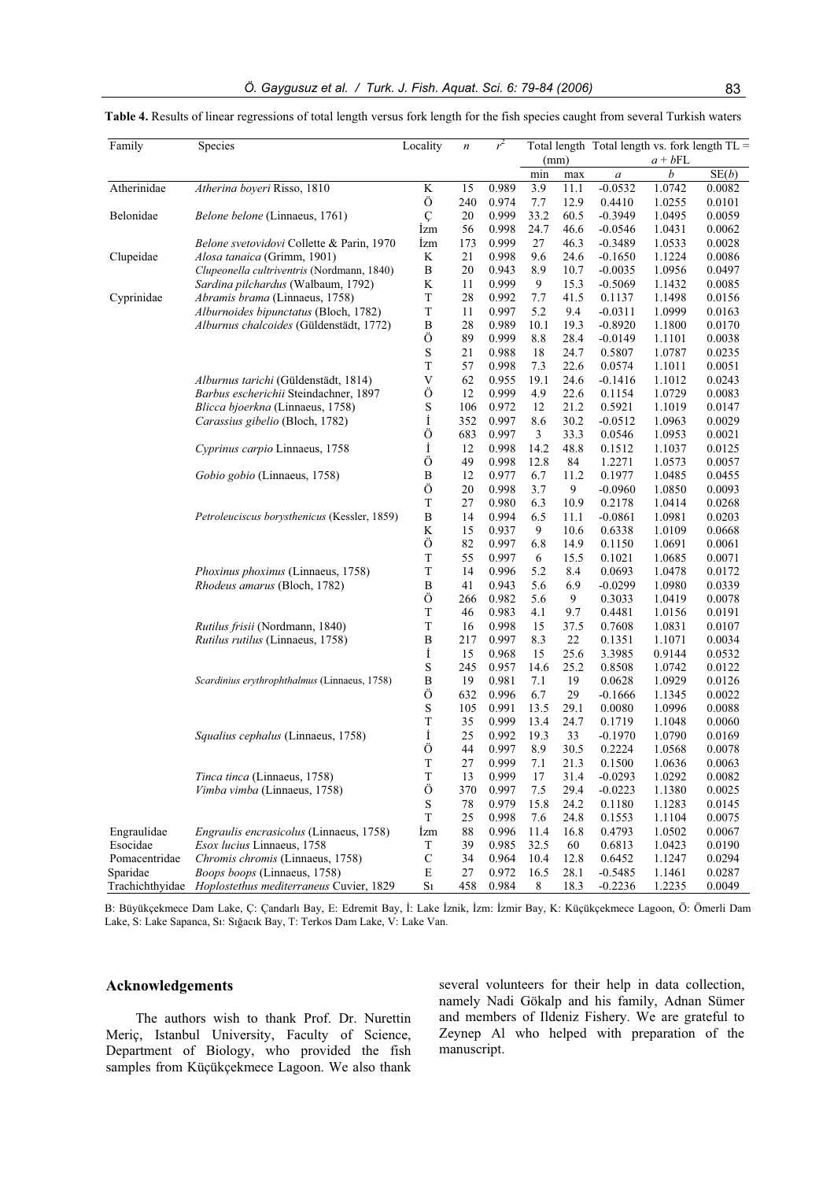| $a + bFL$<br>(mm)<br>b<br>SE(b)<br>min<br>max<br>$\boldsymbol{a}$<br>Atherinidae<br>Atherina boyeri Risso, 1810<br>K<br>15<br>0.989<br>3.9<br>11.1<br>$-0.0532$<br>1.0742<br>0.0082<br>Ö<br>240<br>0.974<br>7.7<br>12.9<br>0.4410<br>1.0255<br>0.0101<br>Ç<br>33.2<br>Belonidae<br>Belone belone (Linnaeus, 1761)<br>20<br>0.999<br>60.5<br>$-0.3949$<br>1.0495<br>0.0059<br><i>Izm</i><br>56<br>0.998<br>24.7<br>46.6<br>$-0.0546$<br>1.0431<br>0.0062<br>$27\,$<br>46.3<br>Belone svetovidovi Collette & Parin, 1970<br><i>Izm</i><br>173<br>0.999<br>$-0.3489$<br>1.0533<br>0.0028<br>K<br>0.998<br>0.0086<br>Clupeidae<br>Alosa tanaica (Grimm, 1901)<br>21<br>9.6<br>24.6<br>$-0.1650$<br>1.1224<br>Clupeonella cultriventris (Nordmann, 1840)<br>$\, {\bf B}$<br>20<br>0.943<br>8.9<br>10.7<br>$-0.0035$<br>1.0956<br>0.0497<br>K<br>Sardina pilchardus (Walbaum, 1792)<br>11<br>0.999<br>9<br>15.3<br>$-0.5069$<br>0.0085<br>1.1432<br>$\mathbf T$<br>Abramis brama (Linnaeus, 1758)<br>28<br>0.992<br>7.7<br>41.5<br>0.0156<br>Cyprinidae<br>0.1137<br>1.1498<br>Alburnoides bipunctatus (Bloch, 1782)<br>T<br>11<br>0.997<br>5.2<br>9.4<br>$-0.0311$<br>1.0999<br>0.0163<br>Alburnus chalcoides (Güldenstädt, 1772)<br>B<br>28<br>0.989<br>19.3<br>10.1<br>$-0.8920$<br>1.1800<br>0.0170<br>Ö<br>0.999<br>89<br>8.8<br>28.4<br>$-0.0149$<br>0.0038<br>1.1101<br>$\mathbf S$<br>21<br>0.988<br>18<br>24.7<br>1.0787<br>0.0235<br>0.5807<br>T<br>0.998<br>57<br>7.3<br>22.6<br>0.0574<br>0.0051<br>1.1011<br>V<br>Alburnus tarichi (Güldenstädt, 1814)<br>62<br>0.955<br>19.1<br>24.6<br>0.0243<br>$-0.1416$<br>1.1012<br>Ö<br>0.999<br>22.6<br>Barbus escherichii Steindachner, 1897<br>12<br>4.9<br>1.0729<br>0.0083<br>0.1154<br>S<br>Blicca bjoerkna (Linnaeus, 1758)<br>106<br>0.972<br>12<br>21.2<br>0.5921<br>1.1019<br>0.0147<br>İ<br>352<br>0.997<br>8.6<br>30.2<br>0.0029<br>Carassius gibelio (Bloch, 1782)<br>$-0.0512$<br>1.0963<br>Ö<br>3<br>683<br>0.997<br>33.3<br>0.0021<br>0.0546<br>1.0953<br>İ<br>Cyprinus carpio Linnaeus, 1758<br>12<br>0.998<br>14.2<br>48.8<br>0.1512<br>0.0125<br>1.1037<br>Ö<br>49<br>0.998<br>12.8<br>84<br>1.2271<br>1.0573<br>0.0057<br>B<br>0.977<br>Gobio gobio (Linnaeus, 1758)<br>12<br>6.7<br>11.2<br>0.1977<br>1.0485<br>0.0455<br>Ö<br>20<br>0.998<br>3.7<br>9<br>0.0093<br>$-0.0960$<br>1.0850<br>T<br>27<br>0.980<br>6.3<br>10.9<br>0.2178<br>0.0268<br>1.0414<br>B<br>Petroleuciscus borysthenicus (Kessler, 1859)<br>14<br>0.994<br>6.5<br>$-0.0861$<br>0.0203<br>11.1<br>1.0981<br>K<br>15<br>0.937<br>9<br>10.6<br>0.6338<br>1.0109<br>0.0668<br>Ö<br>82<br>0.997<br>6.8<br>14.9<br>0.0061<br>0.1150<br>1.0691<br>T<br>0.997<br>15.5<br>0.1021<br>0.0071<br>55<br>6<br>1.0685<br>T<br>Phoxinus phoxinus (Linnaeus, 1758)<br>14<br>0.996<br>5.2<br>0.0172<br>8.4<br>0.0693<br>1.0478<br>B<br>41<br>0.943<br>6.9<br>Rhodeus amarus (Bloch, 1782)<br>5.6<br>$-0.0299$<br>0.0339<br>1.0980<br>Ö<br>266<br>0.982<br>9<br>0.3033<br>1.0419<br>0.0078<br>5.6<br>T<br>46<br>0.983<br>4.1<br>9.7<br>0.4481<br>0.0191<br>1.0156<br>T<br>0.998<br>Rutilus frisii (Nordmann, 1840)<br>16<br>15<br>37.5<br>0.7608<br>1.0831<br>0.0107<br>$\, {\bf B}$<br>Rutilus rutilus (Linnaeus, 1758)<br>217<br>0.997<br>8.3<br>22<br>0.0034<br>0.1351<br>1.1071<br>İ<br>15<br>0.968<br>15<br>25.6<br>3.3985<br>0.0532<br>0.9144<br>$\mathbf S$<br>245<br>0.957<br>14.6<br>25.2<br>0.8508<br>0.0122<br>1.0742<br>$\, {\bf B}$<br>0.0126<br>Scardinius erythrophthalmus (Linnaeus, 1758)<br>19<br>0.981<br>7.1<br>19<br>0.0628<br>1.0929<br>Ö<br>632<br>6.7<br>0.996<br>29<br>0.0022<br>$-0.1666$<br>1.1345<br>S<br>0.991<br>13.5<br>29.1<br>1.0996<br>0.0088<br>105<br>0.0080<br>$\mathbf T$<br>35<br>0.999<br>13.4<br>24.7<br>0.0060<br>0.1719<br>1.1048<br>İ<br>Squalius cephalus (Linnaeus, 1758)<br>25<br>0.992<br>19.3<br>33<br>$-0.1970$<br>1.0790<br>0.0169<br>Ö<br>8.9<br>44<br>0.997<br>30.5<br>0.2224<br>1.0568<br>0.0078<br>$\mathbf T$<br>$27\,$<br>0.999<br>7.1<br>21.3<br>0.1500<br>1.0636<br>0.0063<br>T<br>Tinca tinca (Linnaeus, 1758)<br>0.999<br>17<br>0.0082<br>13<br>31.4<br>$-0.0293$<br>1.0292<br>Ö<br>Vimba vimba (Linnaeus, 1758)<br>370<br>0.997<br>7.5<br>29.4<br>$-0.0223$<br>0.0025<br>1.1380<br>${\bf S}$<br>78<br>0.979<br>15.8<br>24.2<br>0.0145<br>0.1180<br>1.1283<br>$\mathbf T$<br>25<br>0.998<br>7.6<br>0.0075<br>24.8<br>0.1553<br>1.1104<br>Engraulidae<br>Engraulis encrasicolus (Linnaeus, 1758)<br><i>Izm</i><br>88<br>0.996<br>11.4<br>16.8<br>0.4793<br>0.0067<br>1.0502<br>Esocidae<br>Esox lucius Linnaeus, 1758<br>T<br>39<br>0.985<br>32.5<br>60<br>0.6813<br>0.0190<br>1.0423<br>$\mathbf C$<br>Pomacentridae<br>Chromis chromis (Linnaeus, 1758)<br>34<br>0.964<br>10.4<br>12.8<br>0.6452<br>1.1247<br>0.0294<br>Sparidae<br>Boops boops (Linnaeus, 1758)<br>Ε<br>27<br>0.972<br>16.5<br>28.1<br>$-0.5485$<br>0.0287<br>1.1461<br>Trachichthyidae Hoplostethus mediterraneus Cuvier, 1829<br>S <sub>1</sub><br>458<br>0.984<br>8<br>$-0.2236$<br>0.0049<br>18.3<br>1.2235 | Family | Species | Locality | $\boldsymbol{n}$ | $r^2$ |  |  | Total length Total length vs. fork length TL = |
|---------------------------------------------------------------------------------------------------------------------------------------------------------------------------------------------------------------------------------------------------------------------------------------------------------------------------------------------------------------------------------------------------------------------------------------------------------------------------------------------------------------------------------------------------------------------------------------------------------------------------------------------------------------------------------------------------------------------------------------------------------------------------------------------------------------------------------------------------------------------------------------------------------------------------------------------------------------------------------------------------------------------------------------------------------------------------------------------------------------------------------------------------------------------------------------------------------------------------------------------------------------------------------------------------------------------------------------------------------------------------------------------------------------------------------------------------------------------------------------------------------------------------------------------------------------------------------------------------------------------------------------------------------------------------------------------------------------------------------------------------------------------------------------------------------------------------------------------------------------------------------------------------------------------------------------------------------------------------------------------------------------------------------------------------------------------------------------------------------------------------------------------------------------------------------------------------------------------------------------------------------------------------------------------------------------------------------------------------------------------------------------------------------------------------------------------------------------------------------------------------------------------------------------------------------------------------------------------------------------------------------------------------------------------------------------------------------------------------------------------------------------------------------------------------------------------------------------------------------------------------------------------------------------------------------------------------------------------------------------------------------------------------------------------------------------------------------------------------------------------------------------------------------------------------------------------------------------------------------------------------------------------------------------------------------------------------------------------------------------------------------------------------------------------------------------------------------------------------------------------------------------------------------------------------------------------------------------------------------------------------------------------------------------------------------------------------------------------------------------------------------------------------------------------------------------------------------------------------------------------------------------------------------------------------------------------------------------------------------------------------------------------------------------------------------------------------------------------------------------------------------------------------------------------------------------------------------------------------------------------------------------------------------------------------------------------------------------------------------------------------------------------------------------------------------------------------------------------------------------------------------------------------------------------------------------------------------------------------------------------------------------------------------------------------------------------------------------------------------------------------------------------------------------------------------------------------------------------------------------------------------------------------------------------------------------------------------------------------------------------------------------------------------------------------------------------|--------|---------|----------|------------------|-------|--|--|------------------------------------------------|
|                                                                                                                                                                                                                                                                                                                                                                                                                                                                                                                                                                                                                                                                                                                                                                                                                                                                                                                                                                                                                                                                                                                                                                                                                                                                                                                                                                                                                                                                                                                                                                                                                                                                                                                                                                                                                                                                                                                                                                                                                                                                                                                                                                                                                                                                                                                                                                                                                                                                                                                                                                                                                                                                                                                                                                                                                                                                                                                                                                                                                                                                                                                                                                                                                                                                                                                                                                                                                                                                                                                                                                                                                                                                                                                                                                                                                                                                                                                                                                                                                                                                                                                                                                                                                                                                                                                                                                                                                                                                                                                                                                                                                                                                                                                                                                                                                                                                                                                                                                                                                                                                     |        |         |          |                  |       |  |  |                                                |
|                                                                                                                                                                                                                                                                                                                                                                                                                                                                                                                                                                                                                                                                                                                                                                                                                                                                                                                                                                                                                                                                                                                                                                                                                                                                                                                                                                                                                                                                                                                                                                                                                                                                                                                                                                                                                                                                                                                                                                                                                                                                                                                                                                                                                                                                                                                                                                                                                                                                                                                                                                                                                                                                                                                                                                                                                                                                                                                                                                                                                                                                                                                                                                                                                                                                                                                                                                                                                                                                                                                                                                                                                                                                                                                                                                                                                                                                                                                                                                                                                                                                                                                                                                                                                                                                                                                                                                                                                                                                                                                                                                                                                                                                                                                                                                                                                                                                                                                                                                                                                                                                     |        |         |          |                  |       |  |  |                                                |
|                                                                                                                                                                                                                                                                                                                                                                                                                                                                                                                                                                                                                                                                                                                                                                                                                                                                                                                                                                                                                                                                                                                                                                                                                                                                                                                                                                                                                                                                                                                                                                                                                                                                                                                                                                                                                                                                                                                                                                                                                                                                                                                                                                                                                                                                                                                                                                                                                                                                                                                                                                                                                                                                                                                                                                                                                                                                                                                                                                                                                                                                                                                                                                                                                                                                                                                                                                                                                                                                                                                                                                                                                                                                                                                                                                                                                                                                                                                                                                                                                                                                                                                                                                                                                                                                                                                                                                                                                                                                                                                                                                                                                                                                                                                                                                                                                                                                                                                                                                                                                                                                     |        |         |          |                  |       |  |  |                                                |
|                                                                                                                                                                                                                                                                                                                                                                                                                                                                                                                                                                                                                                                                                                                                                                                                                                                                                                                                                                                                                                                                                                                                                                                                                                                                                                                                                                                                                                                                                                                                                                                                                                                                                                                                                                                                                                                                                                                                                                                                                                                                                                                                                                                                                                                                                                                                                                                                                                                                                                                                                                                                                                                                                                                                                                                                                                                                                                                                                                                                                                                                                                                                                                                                                                                                                                                                                                                                                                                                                                                                                                                                                                                                                                                                                                                                                                                                                                                                                                                                                                                                                                                                                                                                                                                                                                                                                                                                                                                                                                                                                                                                                                                                                                                                                                                                                                                                                                                                                                                                                                                                     |        |         |          |                  |       |  |  |                                                |
|                                                                                                                                                                                                                                                                                                                                                                                                                                                                                                                                                                                                                                                                                                                                                                                                                                                                                                                                                                                                                                                                                                                                                                                                                                                                                                                                                                                                                                                                                                                                                                                                                                                                                                                                                                                                                                                                                                                                                                                                                                                                                                                                                                                                                                                                                                                                                                                                                                                                                                                                                                                                                                                                                                                                                                                                                                                                                                                                                                                                                                                                                                                                                                                                                                                                                                                                                                                                                                                                                                                                                                                                                                                                                                                                                                                                                                                                                                                                                                                                                                                                                                                                                                                                                                                                                                                                                                                                                                                                                                                                                                                                                                                                                                                                                                                                                                                                                                                                                                                                                                                                     |        |         |          |                  |       |  |  |                                                |
|                                                                                                                                                                                                                                                                                                                                                                                                                                                                                                                                                                                                                                                                                                                                                                                                                                                                                                                                                                                                                                                                                                                                                                                                                                                                                                                                                                                                                                                                                                                                                                                                                                                                                                                                                                                                                                                                                                                                                                                                                                                                                                                                                                                                                                                                                                                                                                                                                                                                                                                                                                                                                                                                                                                                                                                                                                                                                                                                                                                                                                                                                                                                                                                                                                                                                                                                                                                                                                                                                                                                                                                                                                                                                                                                                                                                                                                                                                                                                                                                                                                                                                                                                                                                                                                                                                                                                                                                                                                                                                                                                                                                                                                                                                                                                                                                                                                                                                                                                                                                                                                                     |        |         |          |                  |       |  |  |                                                |
|                                                                                                                                                                                                                                                                                                                                                                                                                                                                                                                                                                                                                                                                                                                                                                                                                                                                                                                                                                                                                                                                                                                                                                                                                                                                                                                                                                                                                                                                                                                                                                                                                                                                                                                                                                                                                                                                                                                                                                                                                                                                                                                                                                                                                                                                                                                                                                                                                                                                                                                                                                                                                                                                                                                                                                                                                                                                                                                                                                                                                                                                                                                                                                                                                                                                                                                                                                                                                                                                                                                                                                                                                                                                                                                                                                                                                                                                                                                                                                                                                                                                                                                                                                                                                                                                                                                                                                                                                                                                                                                                                                                                                                                                                                                                                                                                                                                                                                                                                                                                                                                                     |        |         |          |                  |       |  |  |                                                |
|                                                                                                                                                                                                                                                                                                                                                                                                                                                                                                                                                                                                                                                                                                                                                                                                                                                                                                                                                                                                                                                                                                                                                                                                                                                                                                                                                                                                                                                                                                                                                                                                                                                                                                                                                                                                                                                                                                                                                                                                                                                                                                                                                                                                                                                                                                                                                                                                                                                                                                                                                                                                                                                                                                                                                                                                                                                                                                                                                                                                                                                                                                                                                                                                                                                                                                                                                                                                                                                                                                                                                                                                                                                                                                                                                                                                                                                                                                                                                                                                                                                                                                                                                                                                                                                                                                                                                                                                                                                                                                                                                                                                                                                                                                                                                                                                                                                                                                                                                                                                                                                                     |        |         |          |                  |       |  |  |                                                |
|                                                                                                                                                                                                                                                                                                                                                                                                                                                                                                                                                                                                                                                                                                                                                                                                                                                                                                                                                                                                                                                                                                                                                                                                                                                                                                                                                                                                                                                                                                                                                                                                                                                                                                                                                                                                                                                                                                                                                                                                                                                                                                                                                                                                                                                                                                                                                                                                                                                                                                                                                                                                                                                                                                                                                                                                                                                                                                                                                                                                                                                                                                                                                                                                                                                                                                                                                                                                                                                                                                                                                                                                                                                                                                                                                                                                                                                                                                                                                                                                                                                                                                                                                                                                                                                                                                                                                                                                                                                                                                                                                                                                                                                                                                                                                                                                                                                                                                                                                                                                                                                                     |        |         |          |                  |       |  |  |                                                |
|                                                                                                                                                                                                                                                                                                                                                                                                                                                                                                                                                                                                                                                                                                                                                                                                                                                                                                                                                                                                                                                                                                                                                                                                                                                                                                                                                                                                                                                                                                                                                                                                                                                                                                                                                                                                                                                                                                                                                                                                                                                                                                                                                                                                                                                                                                                                                                                                                                                                                                                                                                                                                                                                                                                                                                                                                                                                                                                                                                                                                                                                                                                                                                                                                                                                                                                                                                                                                                                                                                                                                                                                                                                                                                                                                                                                                                                                                                                                                                                                                                                                                                                                                                                                                                                                                                                                                                                                                                                                                                                                                                                                                                                                                                                                                                                                                                                                                                                                                                                                                                                                     |        |         |          |                  |       |  |  |                                                |
|                                                                                                                                                                                                                                                                                                                                                                                                                                                                                                                                                                                                                                                                                                                                                                                                                                                                                                                                                                                                                                                                                                                                                                                                                                                                                                                                                                                                                                                                                                                                                                                                                                                                                                                                                                                                                                                                                                                                                                                                                                                                                                                                                                                                                                                                                                                                                                                                                                                                                                                                                                                                                                                                                                                                                                                                                                                                                                                                                                                                                                                                                                                                                                                                                                                                                                                                                                                                                                                                                                                                                                                                                                                                                                                                                                                                                                                                                                                                                                                                                                                                                                                                                                                                                                                                                                                                                                                                                                                                                                                                                                                                                                                                                                                                                                                                                                                                                                                                                                                                                                                                     |        |         |          |                  |       |  |  |                                                |
|                                                                                                                                                                                                                                                                                                                                                                                                                                                                                                                                                                                                                                                                                                                                                                                                                                                                                                                                                                                                                                                                                                                                                                                                                                                                                                                                                                                                                                                                                                                                                                                                                                                                                                                                                                                                                                                                                                                                                                                                                                                                                                                                                                                                                                                                                                                                                                                                                                                                                                                                                                                                                                                                                                                                                                                                                                                                                                                                                                                                                                                                                                                                                                                                                                                                                                                                                                                                                                                                                                                                                                                                                                                                                                                                                                                                                                                                                                                                                                                                                                                                                                                                                                                                                                                                                                                                                                                                                                                                                                                                                                                                                                                                                                                                                                                                                                                                                                                                                                                                                                                                     |        |         |          |                  |       |  |  |                                                |
|                                                                                                                                                                                                                                                                                                                                                                                                                                                                                                                                                                                                                                                                                                                                                                                                                                                                                                                                                                                                                                                                                                                                                                                                                                                                                                                                                                                                                                                                                                                                                                                                                                                                                                                                                                                                                                                                                                                                                                                                                                                                                                                                                                                                                                                                                                                                                                                                                                                                                                                                                                                                                                                                                                                                                                                                                                                                                                                                                                                                                                                                                                                                                                                                                                                                                                                                                                                                                                                                                                                                                                                                                                                                                                                                                                                                                                                                                                                                                                                                                                                                                                                                                                                                                                                                                                                                                                                                                                                                                                                                                                                                                                                                                                                                                                                                                                                                                                                                                                                                                                                                     |        |         |          |                  |       |  |  |                                                |
|                                                                                                                                                                                                                                                                                                                                                                                                                                                                                                                                                                                                                                                                                                                                                                                                                                                                                                                                                                                                                                                                                                                                                                                                                                                                                                                                                                                                                                                                                                                                                                                                                                                                                                                                                                                                                                                                                                                                                                                                                                                                                                                                                                                                                                                                                                                                                                                                                                                                                                                                                                                                                                                                                                                                                                                                                                                                                                                                                                                                                                                                                                                                                                                                                                                                                                                                                                                                                                                                                                                                                                                                                                                                                                                                                                                                                                                                                                                                                                                                                                                                                                                                                                                                                                                                                                                                                                                                                                                                                                                                                                                                                                                                                                                                                                                                                                                                                                                                                                                                                                                                     |        |         |          |                  |       |  |  |                                                |
|                                                                                                                                                                                                                                                                                                                                                                                                                                                                                                                                                                                                                                                                                                                                                                                                                                                                                                                                                                                                                                                                                                                                                                                                                                                                                                                                                                                                                                                                                                                                                                                                                                                                                                                                                                                                                                                                                                                                                                                                                                                                                                                                                                                                                                                                                                                                                                                                                                                                                                                                                                                                                                                                                                                                                                                                                                                                                                                                                                                                                                                                                                                                                                                                                                                                                                                                                                                                                                                                                                                                                                                                                                                                                                                                                                                                                                                                                                                                                                                                                                                                                                                                                                                                                                                                                                                                                                                                                                                                                                                                                                                                                                                                                                                                                                                                                                                                                                                                                                                                                                                                     |        |         |          |                  |       |  |  |                                                |
|                                                                                                                                                                                                                                                                                                                                                                                                                                                                                                                                                                                                                                                                                                                                                                                                                                                                                                                                                                                                                                                                                                                                                                                                                                                                                                                                                                                                                                                                                                                                                                                                                                                                                                                                                                                                                                                                                                                                                                                                                                                                                                                                                                                                                                                                                                                                                                                                                                                                                                                                                                                                                                                                                                                                                                                                                                                                                                                                                                                                                                                                                                                                                                                                                                                                                                                                                                                                                                                                                                                                                                                                                                                                                                                                                                                                                                                                                                                                                                                                                                                                                                                                                                                                                                                                                                                                                                                                                                                                                                                                                                                                                                                                                                                                                                                                                                                                                                                                                                                                                                                                     |        |         |          |                  |       |  |  |                                                |
|                                                                                                                                                                                                                                                                                                                                                                                                                                                                                                                                                                                                                                                                                                                                                                                                                                                                                                                                                                                                                                                                                                                                                                                                                                                                                                                                                                                                                                                                                                                                                                                                                                                                                                                                                                                                                                                                                                                                                                                                                                                                                                                                                                                                                                                                                                                                                                                                                                                                                                                                                                                                                                                                                                                                                                                                                                                                                                                                                                                                                                                                                                                                                                                                                                                                                                                                                                                                                                                                                                                                                                                                                                                                                                                                                                                                                                                                                                                                                                                                                                                                                                                                                                                                                                                                                                                                                                                                                                                                                                                                                                                                                                                                                                                                                                                                                                                                                                                                                                                                                                                                     |        |         |          |                  |       |  |  |                                                |
|                                                                                                                                                                                                                                                                                                                                                                                                                                                                                                                                                                                                                                                                                                                                                                                                                                                                                                                                                                                                                                                                                                                                                                                                                                                                                                                                                                                                                                                                                                                                                                                                                                                                                                                                                                                                                                                                                                                                                                                                                                                                                                                                                                                                                                                                                                                                                                                                                                                                                                                                                                                                                                                                                                                                                                                                                                                                                                                                                                                                                                                                                                                                                                                                                                                                                                                                                                                                                                                                                                                                                                                                                                                                                                                                                                                                                                                                                                                                                                                                                                                                                                                                                                                                                                                                                                                                                                                                                                                                                                                                                                                                                                                                                                                                                                                                                                                                                                                                                                                                                                                                     |        |         |          |                  |       |  |  |                                                |
|                                                                                                                                                                                                                                                                                                                                                                                                                                                                                                                                                                                                                                                                                                                                                                                                                                                                                                                                                                                                                                                                                                                                                                                                                                                                                                                                                                                                                                                                                                                                                                                                                                                                                                                                                                                                                                                                                                                                                                                                                                                                                                                                                                                                                                                                                                                                                                                                                                                                                                                                                                                                                                                                                                                                                                                                                                                                                                                                                                                                                                                                                                                                                                                                                                                                                                                                                                                                                                                                                                                                                                                                                                                                                                                                                                                                                                                                                                                                                                                                                                                                                                                                                                                                                                                                                                                                                                                                                                                                                                                                                                                                                                                                                                                                                                                                                                                                                                                                                                                                                                                                     |        |         |          |                  |       |  |  |                                                |
|                                                                                                                                                                                                                                                                                                                                                                                                                                                                                                                                                                                                                                                                                                                                                                                                                                                                                                                                                                                                                                                                                                                                                                                                                                                                                                                                                                                                                                                                                                                                                                                                                                                                                                                                                                                                                                                                                                                                                                                                                                                                                                                                                                                                                                                                                                                                                                                                                                                                                                                                                                                                                                                                                                                                                                                                                                                                                                                                                                                                                                                                                                                                                                                                                                                                                                                                                                                                                                                                                                                                                                                                                                                                                                                                                                                                                                                                                                                                                                                                                                                                                                                                                                                                                                                                                                                                                                                                                                                                                                                                                                                                                                                                                                                                                                                                                                                                                                                                                                                                                                                                     |        |         |          |                  |       |  |  |                                                |
|                                                                                                                                                                                                                                                                                                                                                                                                                                                                                                                                                                                                                                                                                                                                                                                                                                                                                                                                                                                                                                                                                                                                                                                                                                                                                                                                                                                                                                                                                                                                                                                                                                                                                                                                                                                                                                                                                                                                                                                                                                                                                                                                                                                                                                                                                                                                                                                                                                                                                                                                                                                                                                                                                                                                                                                                                                                                                                                                                                                                                                                                                                                                                                                                                                                                                                                                                                                                                                                                                                                                                                                                                                                                                                                                                                                                                                                                                                                                                                                                                                                                                                                                                                                                                                                                                                                                                                                                                                                                                                                                                                                                                                                                                                                                                                                                                                                                                                                                                                                                                                                                     |        |         |          |                  |       |  |  |                                                |
|                                                                                                                                                                                                                                                                                                                                                                                                                                                                                                                                                                                                                                                                                                                                                                                                                                                                                                                                                                                                                                                                                                                                                                                                                                                                                                                                                                                                                                                                                                                                                                                                                                                                                                                                                                                                                                                                                                                                                                                                                                                                                                                                                                                                                                                                                                                                                                                                                                                                                                                                                                                                                                                                                                                                                                                                                                                                                                                                                                                                                                                                                                                                                                                                                                                                                                                                                                                                                                                                                                                                                                                                                                                                                                                                                                                                                                                                                                                                                                                                                                                                                                                                                                                                                                                                                                                                                                                                                                                                                                                                                                                                                                                                                                                                                                                                                                                                                                                                                                                                                                                                     |        |         |          |                  |       |  |  |                                                |
|                                                                                                                                                                                                                                                                                                                                                                                                                                                                                                                                                                                                                                                                                                                                                                                                                                                                                                                                                                                                                                                                                                                                                                                                                                                                                                                                                                                                                                                                                                                                                                                                                                                                                                                                                                                                                                                                                                                                                                                                                                                                                                                                                                                                                                                                                                                                                                                                                                                                                                                                                                                                                                                                                                                                                                                                                                                                                                                                                                                                                                                                                                                                                                                                                                                                                                                                                                                                                                                                                                                                                                                                                                                                                                                                                                                                                                                                                                                                                                                                                                                                                                                                                                                                                                                                                                                                                                                                                                                                                                                                                                                                                                                                                                                                                                                                                                                                                                                                                                                                                                                                     |        |         |          |                  |       |  |  |                                                |
|                                                                                                                                                                                                                                                                                                                                                                                                                                                                                                                                                                                                                                                                                                                                                                                                                                                                                                                                                                                                                                                                                                                                                                                                                                                                                                                                                                                                                                                                                                                                                                                                                                                                                                                                                                                                                                                                                                                                                                                                                                                                                                                                                                                                                                                                                                                                                                                                                                                                                                                                                                                                                                                                                                                                                                                                                                                                                                                                                                                                                                                                                                                                                                                                                                                                                                                                                                                                                                                                                                                                                                                                                                                                                                                                                                                                                                                                                                                                                                                                                                                                                                                                                                                                                                                                                                                                                                                                                                                                                                                                                                                                                                                                                                                                                                                                                                                                                                                                                                                                                                                                     |        |         |          |                  |       |  |  |                                                |
|                                                                                                                                                                                                                                                                                                                                                                                                                                                                                                                                                                                                                                                                                                                                                                                                                                                                                                                                                                                                                                                                                                                                                                                                                                                                                                                                                                                                                                                                                                                                                                                                                                                                                                                                                                                                                                                                                                                                                                                                                                                                                                                                                                                                                                                                                                                                                                                                                                                                                                                                                                                                                                                                                                                                                                                                                                                                                                                                                                                                                                                                                                                                                                                                                                                                                                                                                                                                                                                                                                                                                                                                                                                                                                                                                                                                                                                                                                                                                                                                                                                                                                                                                                                                                                                                                                                                                                                                                                                                                                                                                                                                                                                                                                                                                                                                                                                                                                                                                                                                                                                                     |        |         |          |                  |       |  |  |                                                |
|                                                                                                                                                                                                                                                                                                                                                                                                                                                                                                                                                                                                                                                                                                                                                                                                                                                                                                                                                                                                                                                                                                                                                                                                                                                                                                                                                                                                                                                                                                                                                                                                                                                                                                                                                                                                                                                                                                                                                                                                                                                                                                                                                                                                                                                                                                                                                                                                                                                                                                                                                                                                                                                                                                                                                                                                                                                                                                                                                                                                                                                                                                                                                                                                                                                                                                                                                                                                                                                                                                                                                                                                                                                                                                                                                                                                                                                                                                                                                                                                                                                                                                                                                                                                                                                                                                                                                                                                                                                                                                                                                                                                                                                                                                                                                                                                                                                                                                                                                                                                                                                                     |        |         |          |                  |       |  |  |                                                |
|                                                                                                                                                                                                                                                                                                                                                                                                                                                                                                                                                                                                                                                                                                                                                                                                                                                                                                                                                                                                                                                                                                                                                                                                                                                                                                                                                                                                                                                                                                                                                                                                                                                                                                                                                                                                                                                                                                                                                                                                                                                                                                                                                                                                                                                                                                                                                                                                                                                                                                                                                                                                                                                                                                                                                                                                                                                                                                                                                                                                                                                                                                                                                                                                                                                                                                                                                                                                                                                                                                                                                                                                                                                                                                                                                                                                                                                                                                                                                                                                                                                                                                                                                                                                                                                                                                                                                                                                                                                                                                                                                                                                                                                                                                                                                                                                                                                                                                                                                                                                                                                                     |        |         |          |                  |       |  |  |                                                |
|                                                                                                                                                                                                                                                                                                                                                                                                                                                                                                                                                                                                                                                                                                                                                                                                                                                                                                                                                                                                                                                                                                                                                                                                                                                                                                                                                                                                                                                                                                                                                                                                                                                                                                                                                                                                                                                                                                                                                                                                                                                                                                                                                                                                                                                                                                                                                                                                                                                                                                                                                                                                                                                                                                                                                                                                                                                                                                                                                                                                                                                                                                                                                                                                                                                                                                                                                                                                                                                                                                                                                                                                                                                                                                                                                                                                                                                                                                                                                                                                                                                                                                                                                                                                                                                                                                                                                                                                                                                                                                                                                                                                                                                                                                                                                                                                                                                                                                                                                                                                                                                                     |        |         |          |                  |       |  |  |                                                |
|                                                                                                                                                                                                                                                                                                                                                                                                                                                                                                                                                                                                                                                                                                                                                                                                                                                                                                                                                                                                                                                                                                                                                                                                                                                                                                                                                                                                                                                                                                                                                                                                                                                                                                                                                                                                                                                                                                                                                                                                                                                                                                                                                                                                                                                                                                                                                                                                                                                                                                                                                                                                                                                                                                                                                                                                                                                                                                                                                                                                                                                                                                                                                                                                                                                                                                                                                                                                                                                                                                                                                                                                                                                                                                                                                                                                                                                                                                                                                                                                                                                                                                                                                                                                                                                                                                                                                                                                                                                                                                                                                                                                                                                                                                                                                                                                                                                                                                                                                                                                                                                                     |        |         |          |                  |       |  |  |                                                |
|                                                                                                                                                                                                                                                                                                                                                                                                                                                                                                                                                                                                                                                                                                                                                                                                                                                                                                                                                                                                                                                                                                                                                                                                                                                                                                                                                                                                                                                                                                                                                                                                                                                                                                                                                                                                                                                                                                                                                                                                                                                                                                                                                                                                                                                                                                                                                                                                                                                                                                                                                                                                                                                                                                                                                                                                                                                                                                                                                                                                                                                                                                                                                                                                                                                                                                                                                                                                                                                                                                                                                                                                                                                                                                                                                                                                                                                                                                                                                                                                                                                                                                                                                                                                                                                                                                                                                                                                                                                                                                                                                                                                                                                                                                                                                                                                                                                                                                                                                                                                                                                                     |        |         |          |                  |       |  |  |                                                |
|                                                                                                                                                                                                                                                                                                                                                                                                                                                                                                                                                                                                                                                                                                                                                                                                                                                                                                                                                                                                                                                                                                                                                                                                                                                                                                                                                                                                                                                                                                                                                                                                                                                                                                                                                                                                                                                                                                                                                                                                                                                                                                                                                                                                                                                                                                                                                                                                                                                                                                                                                                                                                                                                                                                                                                                                                                                                                                                                                                                                                                                                                                                                                                                                                                                                                                                                                                                                                                                                                                                                                                                                                                                                                                                                                                                                                                                                                                                                                                                                                                                                                                                                                                                                                                                                                                                                                                                                                                                                                                                                                                                                                                                                                                                                                                                                                                                                                                                                                                                                                                                                     |        |         |          |                  |       |  |  |                                                |
|                                                                                                                                                                                                                                                                                                                                                                                                                                                                                                                                                                                                                                                                                                                                                                                                                                                                                                                                                                                                                                                                                                                                                                                                                                                                                                                                                                                                                                                                                                                                                                                                                                                                                                                                                                                                                                                                                                                                                                                                                                                                                                                                                                                                                                                                                                                                                                                                                                                                                                                                                                                                                                                                                                                                                                                                                                                                                                                                                                                                                                                                                                                                                                                                                                                                                                                                                                                                                                                                                                                                                                                                                                                                                                                                                                                                                                                                                                                                                                                                                                                                                                                                                                                                                                                                                                                                                                                                                                                                                                                                                                                                                                                                                                                                                                                                                                                                                                                                                                                                                                                                     |        |         |          |                  |       |  |  |                                                |
|                                                                                                                                                                                                                                                                                                                                                                                                                                                                                                                                                                                                                                                                                                                                                                                                                                                                                                                                                                                                                                                                                                                                                                                                                                                                                                                                                                                                                                                                                                                                                                                                                                                                                                                                                                                                                                                                                                                                                                                                                                                                                                                                                                                                                                                                                                                                                                                                                                                                                                                                                                                                                                                                                                                                                                                                                                                                                                                                                                                                                                                                                                                                                                                                                                                                                                                                                                                                                                                                                                                                                                                                                                                                                                                                                                                                                                                                                                                                                                                                                                                                                                                                                                                                                                                                                                                                                                                                                                                                                                                                                                                                                                                                                                                                                                                                                                                                                                                                                                                                                                                                     |        |         |          |                  |       |  |  |                                                |
|                                                                                                                                                                                                                                                                                                                                                                                                                                                                                                                                                                                                                                                                                                                                                                                                                                                                                                                                                                                                                                                                                                                                                                                                                                                                                                                                                                                                                                                                                                                                                                                                                                                                                                                                                                                                                                                                                                                                                                                                                                                                                                                                                                                                                                                                                                                                                                                                                                                                                                                                                                                                                                                                                                                                                                                                                                                                                                                                                                                                                                                                                                                                                                                                                                                                                                                                                                                                                                                                                                                                                                                                                                                                                                                                                                                                                                                                                                                                                                                                                                                                                                                                                                                                                                                                                                                                                                                                                                                                                                                                                                                                                                                                                                                                                                                                                                                                                                                                                                                                                                                                     |        |         |          |                  |       |  |  |                                                |
|                                                                                                                                                                                                                                                                                                                                                                                                                                                                                                                                                                                                                                                                                                                                                                                                                                                                                                                                                                                                                                                                                                                                                                                                                                                                                                                                                                                                                                                                                                                                                                                                                                                                                                                                                                                                                                                                                                                                                                                                                                                                                                                                                                                                                                                                                                                                                                                                                                                                                                                                                                                                                                                                                                                                                                                                                                                                                                                                                                                                                                                                                                                                                                                                                                                                                                                                                                                                                                                                                                                                                                                                                                                                                                                                                                                                                                                                                                                                                                                                                                                                                                                                                                                                                                                                                                                                                                                                                                                                                                                                                                                                                                                                                                                                                                                                                                                                                                                                                                                                                                                                     |        |         |          |                  |       |  |  |                                                |
|                                                                                                                                                                                                                                                                                                                                                                                                                                                                                                                                                                                                                                                                                                                                                                                                                                                                                                                                                                                                                                                                                                                                                                                                                                                                                                                                                                                                                                                                                                                                                                                                                                                                                                                                                                                                                                                                                                                                                                                                                                                                                                                                                                                                                                                                                                                                                                                                                                                                                                                                                                                                                                                                                                                                                                                                                                                                                                                                                                                                                                                                                                                                                                                                                                                                                                                                                                                                                                                                                                                                                                                                                                                                                                                                                                                                                                                                                                                                                                                                                                                                                                                                                                                                                                                                                                                                                                                                                                                                                                                                                                                                                                                                                                                                                                                                                                                                                                                                                                                                                                                                     |        |         |          |                  |       |  |  |                                                |
|                                                                                                                                                                                                                                                                                                                                                                                                                                                                                                                                                                                                                                                                                                                                                                                                                                                                                                                                                                                                                                                                                                                                                                                                                                                                                                                                                                                                                                                                                                                                                                                                                                                                                                                                                                                                                                                                                                                                                                                                                                                                                                                                                                                                                                                                                                                                                                                                                                                                                                                                                                                                                                                                                                                                                                                                                                                                                                                                                                                                                                                                                                                                                                                                                                                                                                                                                                                                                                                                                                                                                                                                                                                                                                                                                                                                                                                                                                                                                                                                                                                                                                                                                                                                                                                                                                                                                                                                                                                                                                                                                                                                                                                                                                                                                                                                                                                                                                                                                                                                                                                                     |        |         |          |                  |       |  |  |                                                |
|                                                                                                                                                                                                                                                                                                                                                                                                                                                                                                                                                                                                                                                                                                                                                                                                                                                                                                                                                                                                                                                                                                                                                                                                                                                                                                                                                                                                                                                                                                                                                                                                                                                                                                                                                                                                                                                                                                                                                                                                                                                                                                                                                                                                                                                                                                                                                                                                                                                                                                                                                                                                                                                                                                                                                                                                                                                                                                                                                                                                                                                                                                                                                                                                                                                                                                                                                                                                                                                                                                                                                                                                                                                                                                                                                                                                                                                                                                                                                                                                                                                                                                                                                                                                                                                                                                                                                                                                                                                                                                                                                                                                                                                                                                                                                                                                                                                                                                                                                                                                                                                                     |        |         |          |                  |       |  |  |                                                |
|                                                                                                                                                                                                                                                                                                                                                                                                                                                                                                                                                                                                                                                                                                                                                                                                                                                                                                                                                                                                                                                                                                                                                                                                                                                                                                                                                                                                                                                                                                                                                                                                                                                                                                                                                                                                                                                                                                                                                                                                                                                                                                                                                                                                                                                                                                                                                                                                                                                                                                                                                                                                                                                                                                                                                                                                                                                                                                                                                                                                                                                                                                                                                                                                                                                                                                                                                                                                                                                                                                                                                                                                                                                                                                                                                                                                                                                                                                                                                                                                                                                                                                                                                                                                                                                                                                                                                                                                                                                                                                                                                                                                                                                                                                                                                                                                                                                                                                                                                                                                                                                                     |        |         |          |                  |       |  |  |                                                |
|                                                                                                                                                                                                                                                                                                                                                                                                                                                                                                                                                                                                                                                                                                                                                                                                                                                                                                                                                                                                                                                                                                                                                                                                                                                                                                                                                                                                                                                                                                                                                                                                                                                                                                                                                                                                                                                                                                                                                                                                                                                                                                                                                                                                                                                                                                                                                                                                                                                                                                                                                                                                                                                                                                                                                                                                                                                                                                                                                                                                                                                                                                                                                                                                                                                                                                                                                                                                                                                                                                                                                                                                                                                                                                                                                                                                                                                                                                                                                                                                                                                                                                                                                                                                                                                                                                                                                                                                                                                                                                                                                                                                                                                                                                                                                                                                                                                                                                                                                                                                                                                                     |        |         |          |                  |       |  |  |                                                |
|                                                                                                                                                                                                                                                                                                                                                                                                                                                                                                                                                                                                                                                                                                                                                                                                                                                                                                                                                                                                                                                                                                                                                                                                                                                                                                                                                                                                                                                                                                                                                                                                                                                                                                                                                                                                                                                                                                                                                                                                                                                                                                                                                                                                                                                                                                                                                                                                                                                                                                                                                                                                                                                                                                                                                                                                                                                                                                                                                                                                                                                                                                                                                                                                                                                                                                                                                                                                                                                                                                                                                                                                                                                                                                                                                                                                                                                                                                                                                                                                                                                                                                                                                                                                                                                                                                                                                                                                                                                                                                                                                                                                                                                                                                                                                                                                                                                                                                                                                                                                                                                                     |        |         |          |                  |       |  |  |                                                |
|                                                                                                                                                                                                                                                                                                                                                                                                                                                                                                                                                                                                                                                                                                                                                                                                                                                                                                                                                                                                                                                                                                                                                                                                                                                                                                                                                                                                                                                                                                                                                                                                                                                                                                                                                                                                                                                                                                                                                                                                                                                                                                                                                                                                                                                                                                                                                                                                                                                                                                                                                                                                                                                                                                                                                                                                                                                                                                                                                                                                                                                                                                                                                                                                                                                                                                                                                                                                                                                                                                                                                                                                                                                                                                                                                                                                                                                                                                                                                                                                                                                                                                                                                                                                                                                                                                                                                                                                                                                                                                                                                                                                                                                                                                                                                                                                                                                                                                                                                                                                                                                                     |        |         |          |                  |       |  |  |                                                |
|                                                                                                                                                                                                                                                                                                                                                                                                                                                                                                                                                                                                                                                                                                                                                                                                                                                                                                                                                                                                                                                                                                                                                                                                                                                                                                                                                                                                                                                                                                                                                                                                                                                                                                                                                                                                                                                                                                                                                                                                                                                                                                                                                                                                                                                                                                                                                                                                                                                                                                                                                                                                                                                                                                                                                                                                                                                                                                                                                                                                                                                                                                                                                                                                                                                                                                                                                                                                                                                                                                                                                                                                                                                                                                                                                                                                                                                                                                                                                                                                                                                                                                                                                                                                                                                                                                                                                                                                                                                                                                                                                                                                                                                                                                                                                                                                                                                                                                                                                                                                                                                                     |        |         |          |                  |       |  |  |                                                |
|                                                                                                                                                                                                                                                                                                                                                                                                                                                                                                                                                                                                                                                                                                                                                                                                                                                                                                                                                                                                                                                                                                                                                                                                                                                                                                                                                                                                                                                                                                                                                                                                                                                                                                                                                                                                                                                                                                                                                                                                                                                                                                                                                                                                                                                                                                                                                                                                                                                                                                                                                                                                                                                                                                                                                                                                                                                                                                                                                                                                                                                                                                                                                                                                                                                                                                                                                                                                                                                                                                                                                                                                                                                                                                                                                                                                                                                                                                                                                                                                                                                                                                                                                                                                                                                                                                                                                                                                                                                                                                                                                                                                                                                                                                                                                                                                                                                                                                                                                                                                                                                                     |        |         |          |                  |       |  |  |                                                |
|                                                                                                                                                                                                                                                                                                                                                                                                                                                                                                                                                                                                                                                                                                                                                                                                                                                                                                                                                                                                                                                                                                                                                                                                                                                                                                                                                                                                                                                                                                                                                                                                                                                                                                                                                                                                                                                                                                                                                                                                                                                                                                                                                                                                                                                                                                                                                                                                                                                                                                                                                                                                                                                                                                                                                                                                                                                                                                                                                                                                                                                                                                                                                                                                                                                                                                                                                                                                                                                                                                                                                                                                                                                                                                                                                                                                                                                                                                                                                                                                                                                                                                                                                                                                                                                                                                                                                                                                                                                                                                                                                                                                                                                                                                                                                                                                                                                                                                                                                                                                                                                                     |        |         |          |                  |       |  |  |                                                |
|                                                                                                                                                                                                                                                                                                                                                                                                                                                                                                                                                                                                                                                                                                                                                                                                                                                                                                                                                                                                                                                                                                                                                                                                                                                                                                                                                                                                                                                                                                                                                                                                                                                                                                                                                                                                                                                                                                                                                                                                                                                                                                                                                                                                                                                                                                                                                                                                                                                                                                                                                                                                                                                                                                                                                                                                                                                                                                                                                                                                                                                                                                                                                                                                                                                                                                                                                                                                                                                                                                                                                                                                                                                                                                                                                                                                                                                                                                                                                                                                                                                                                                                                                                                                                                                                                                                                                                                                                                                                                                                                                                                                                                                                                                                                                                                                                                                                                                                                                                                                                                                                     |        |         |          |                  |       |  |  |                                                |
|                                                                                                                                                                                                                                                                                                                                                                                                                                                                                                                                                                                                                                                                                                                                                                                                                                                                                                                                                                                                                                                                                                                                                                                                                                                                                                                                                                                                                                                                                                                                                                                                                                                                                                                                                                                                                                                                                                                                                                                                                                                                                                                                                                                                                                                                                                                                                                                                                                                                                                                                                                                                                                                                                                                                                                                                                                                                                                                                                                                                                                                                                                                                                                                                                                                                                                                                                                                                                                                                                                                                                                                                                                                                                                                                                                                                                                                                                                                                                                                                                                                                                                                                                                                                                                                                                                                                                                                                                                                                                                                                                                                                                                                                                                                                                                                                                                                                                                                                                                                                                                                                     |        |         |          |                  |       |  |  |                                                |
|                                                                                                                                                                                                                                                                                                                                                                                                                                                                                                                                                                                                                                                                                                                                                                                                                                                                                                                                                                                                                                                                                                                                                                                                                                                                                                                                                                                                                                                                                                                                                                                                                                                                                                                                                                                                                                                                                                                                                                                                                                                                                                                                                                                                                                                                                                                                                                                                                                                                                                                                                                                                                                                                                                                                                                                                                                                                                                                                                                                                                                                                                                                                                                                                                                                                                                                                                                                                                                                                                                                                                                                                                                                                                                                                                                                                                                                                                                                                                                                                                                                                                                                                                                                                                                                                                                                                                                                                                                                                                                                                                                                                                                                                                                                                                                                                                                                                                                                                                                                                                                                                     |        |         |          |                  |       |  |  |                                                |
|                                                                                                                                                                                                                                                                                                                                                                                                                                                                                                                                                                                                                                                                                                                                                                                                                                                                                                                                                                                                                                                                                                                                                                                                                                                                                                                                                                                                                                                                                                                                                                                                                                                                                                                                                                                                                                                                                                                                                                                                                                                                                                                                                                                                                                                                                                                                                                                                                                                                                                                                                                                                                                                                                                                                                                                                                                                                                                                                                                                                                                                                                                                                                                                                                                                                                                                                                                                                                                                                                                                                                                                                                                                                                                                                                                                                                                                                                                                                                                                                                                                                                                                                                                                                                                                                                                                                                                                                                                                                                                                                                                                                                                                                                                                                                                                                                                                                                                                                                                                                                                                                     |        |         |          |                  |       |  |  |                                                |
|                                                                                                                                                                                                                                                                                                                                                                                                                                                                                                                                                                                                                                                                                                                                                                                                                                                                                                                                                                                                                                                                                                                                                                                                                                                                                                                                                                                                                                                                                                                                                                                                                                                                                                                                                                                                                                                                                                                                                                                                                                                                                                                                                                                                                                                                                                                                                                                                                                                                                                                                                                                                                                                                                                                                                                                                                                                                                                                                                                                                                                                                                                                                                                                                                                                                                                                                                                                                                                                                                                                                                                                                                                                                                                                                                                                                                                                                                                                                                                                                                                                                                                                                                                                                                                                                                                                                                                                                                                                                                                                                                                                                                                                                                                                                                                                                                                                                                                                                                                                                                                                                     |        |         |          |                  |       |  |  |                                                |
|                                                                                                                                                                                                                                                                                                                                                                                                                                                                                                                                                                                                                                                                                                                                                                                                                                                                                                                                                                                                                                                                                                                                                                                                                                                                                                                                                                                                                                                                                                                                                                                                                                                                                                                                                                                                                                                                                                                                                                                                                                                                                                                                                                                                                                                                                                                                                                                                                                                                                                                                                                                                                                                                                                                                                                                                                                                                                                                                                                                                                                                                                                                                                                                                                                                                                                                                                                                                                                                                                                                                                                                                                                                                                                                                                                                                                                                                                                                                                                                                                                                                                                                                                                                                                                                                                                                                                                                                                                                                                                                                                                                                                                                                                                                                                                                                                                                                                                                                                                                                                                                                     |        |         |          |                  |       |  |  |                                                |
|                                                                                                                                                                                                                                                                                                                                                                                                                                                                                                                                                                                                                                                                                                                                                                                                                                                                                                                                                                                                                                                                                                                                                                                                                                                                                                                                                                                                                                                                                                                                                                                                                                                                                                                                                                                                                                                                                                                                                                                                                                                                                                                                                                                                                                                                                                                                                                                                                                                                                                                                                                                                                                                                                                                                                                                                                                                                                                                                                                                                                                                                                                                                                                                                                                                                                                                                                                                                                                                                                                                                                                                                                                                                                                                                                                                                                                                                                                                                                                                                                                                                                                                                                                                                                                                                                                                                                                                                                                                                                                                                                                                                                                                                                                                                                                                                                                                                                                                                                                                                                                                                     |        |         |          |                  |       |  |  |                                                |

**Table 4.** Results of linear regressions of total length versus fork length for the fish species caught from several Turkish waters

B: Büyükçekmece Dam Lake, Ç: Çandarlı Bay, E: Edremit Bay, İ: Lake İznik, İzm: İzmir Bay, K: Küçükçekmece Lagoon, Ö: Ömerli Dam Lake, S: Lake Sapanca, Sı: Sığacık Bay, T: Terkos Dam Lake, V: Lake Van.

# **Acknowledgements**

The authors wish to thank Prof. Dr. Nurettin Meriç, Istanbul University, Faculty of Science, Department of Biology, who provided the fish samples from Küçükçekmece Lagoon. We also thank several volunteers for their help in data collection, namely Nadi Gökalp and his family, Adnan Sümer and members of Ildeniz Fishery. We are grateful to Zeynep Al who helped with preparation of the manuscript.